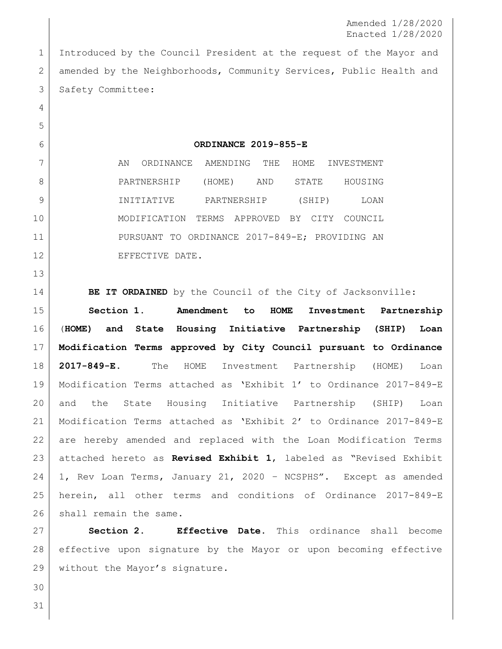Amended 1/28/2020 Enacted 1/28/2020

 Introduced by the Council President at the request of the Mayor and 2 amended by the Neighborhoods, Community Services, Public Health and 3 Safety Committee:

**ORDINANCE 2019-855-E**

7 AN ORDINANCE AMENDING THE HOME INVESTMENT PARTNERSHIP (HOME) AND STATE HOUSING INITIATIVE PARTNERSHIP (SHIP) LOAN MODIFICATION TERMS APPROVED BY CITY COUNCIL PURSUANT TO ORDINANCE 2017-849-E; PROVIDING AN 12 EFFECTIVE DATE.

**BE IT ORDAINED** by the Council of the City of Jacksonville:

 **Section 1**. **Amendment to HOME Investment Partnership** (**HOME) and State Housing Initiative Partnership (SHIP) Loan Modification Terms approved by City Council pursuant to Ordinance 2017-849-E.** The HOME Investment Partnership (HOME) Loan Modification Terms attached as 'Exhibit 1' to Ordinance 2017-849-E and the State Housing Initiative Partnership (SHIP) Loan Modification Terms attached as 'Exhibit 2' to Ordinance 2017-849-E are hereby amended and replaced with the Loan Modification Terms attached hereto as **Revised Exhibit 1**, labeled as "Revised Exhibit 1, Rev Loan Terms, January 21, 2020 – NCSPHS". Except as amended herein, all other terms and conditions of Ordinance 2017-849-E 26 shall remain the same.

 **Section 2. Effective Date.** This ordinance shall become effective upon signature by the Mayor or upon becoming effective 29 | without the Mayor's signature.